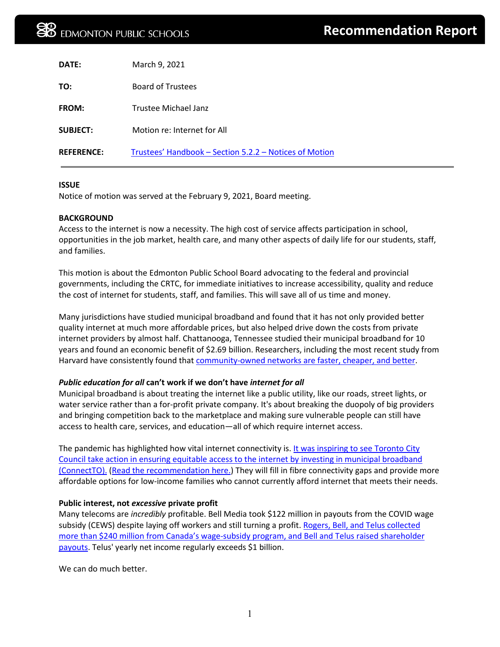| DATE:             | March 9, 2021                                          |
|-------------------|--------------------------------------------------------|
| TO:               | <b>Board of Trustees</b>                               |
| <b>FROM:</b>      | Trustee Michael Janz                                   |
| <b>SUBJECT:</b>   | Motion re: Internet for All                            |
| <b>REFERENCE:</b> | Trustees' Handbook - Section 5.2.2 - Notices of Motion |

### **ISSUE**

Notice of motion was served at the February 9, 2021, Board meeting.

### **BACKGROUND**

Access to the internet is now a necessity. The high cost of service affects participation in school, opportunities in the job market, health care, and many other aspects of daily life for our students, staff, and families.

This motion is about the Edmonton Public School Board advocating to the federal and provincial governments, including the CRTC, for immediate initiatives to increase accessibility, quality and reduce the cost of internet for students, staff, and families. This will save all of us time and money.

Many jurisdictions have studied municipal broadband and found that it has not only provided better quality internet at much more affordable prices, but also helped drive down the costs from private internet providers by almost half. Chattanooga, Tennessee studied their municipal broadband for 10 years and found an economic benefit of \$2.69 billion. Researchers, including the most recent study from Harvard have consistently found that [community-owned networks are faster, cheaper, and better.](https://dash.harvard.edu/handle/1/34623859)

# *Public education for all* **can't work if we don't have** *internet for all*

Municipal broadband is about treating the internet like a public utility, like our roads, street lights, or water service rather than a for-profit private company. It's about breaking the duopoly of big providers and bringing competition back to the marketplace and making sure vulnerable people can still have access to health care, services, and education—all of which require internet access.

The pandemic has highlighted how vital internet connectivity is. [It was inspiring to see Toronto City](https://www.thestar.com/business/2021/02/05/toronto-just-approved-a-wild-plan-to-build-a-public-internet-network-priced-lower-than-bell-or-rogers-will-it-work.html)  [Council take action in ensuring equitable access to the internet by investing in municipal broadband](https://www.thestar.com/business/2021/02/05/toronto-just-approved-a-wild-plan-to-build-a-public-internet-network-priced-lower-than-bell-or-rogers-will-it-work.html)  [\(ConnectTO\).](https://www.thestar.com/business/2021/02/05/toronto-just-approved-a-wild-plan-to-build-a-public-internet-network-priced-lower-than-bell-or-rogers-will-it-work.html) [\(Read the recommendation here.](http://app.toronto.ca/tmmis/viewAgendaItemHistory.do?item=2021.EX20.8)) They will fill in fibre connectivity gaps and provide more affordable options for low-income families who cannot currently afford internet that meets their needs.

## **Public interest, not** *excessive* **private profit**

Many telecoms are *incredibly* profitable. Bell Media took \$122 million in payouts from the COVID wage subsidy (CEWS) despite laying off workers and still turning a profit. Rogers, Bell, and Telus collected [more than \\$240 million from Canada's wage-subsidy program, and Bell and Telus raised shareholder](https://www.thestar.com/business/2021/02/08/top-telecoms-took-in-almost-a-quarter-billion-dollars-from-canadas-wage-subsidy-program-and-kept-paying-dividends.html?utm_source=dlvr.it)  [payouts.](https://www.thestar.com/business/2021/02/08/top-telecoms-took-in-almost-a-quarter-billion-dollars-from-canadas-wage-subsidy-program-and-kept-paying-dividends.html?utm_source=dlvr.it) Telus' yearly net income regularly exceeds \$1 billion.

We can do much better.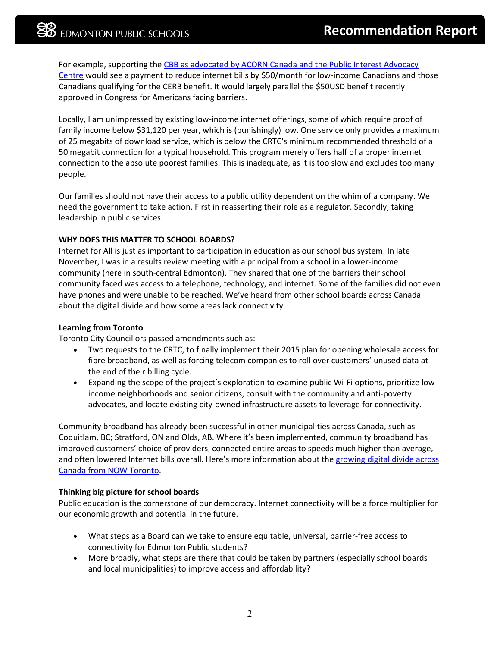For example, supporting the [CBB as advocated by ACORN Canada and the Public Interest Advocacy](https://www.piac.ca/our-specialities/canadian-consumers-demand-50-broadband-benefit-during-covid-like-in-u-s/)  [Centre](https://www.piac.ca/our-specialities/canadian-consumers-demand-50-broadband-benefit-during-covid-like-in-u-s/) would see a payment to reduce internet bills by \$50/month for low-income Canadians and those Canadians qualifying for the CERB benefit. It would largely parallel the \$50USD benefit recently approved in Congress for Americans facing barriers.

Locally, I am unimpressed by existing low-income internet offerings, some of which require proof of family income below \$31,120 per year, which is (punishingly) low. One service only provides a maximum of 25 megabits of download service, which is below the CRTC's minimum recommended threshold of a 50 megabit connection for a typical household. This program merely offers half of a proper internet connection to the absolute poorest families. This is inadequate, as it is too slow and excludes too many people.

Our families should not have their access to a public utility dependent on the whim of a company. We need the government to take action. First in reasserting their role as a regulator. Secondly, taking leadership in public services.

# **WHY DOES THIS MATTER TO SCHOOL BOARDS?**

Internet for All is just as important to participation in education as our school bus system. In late November, I was in a results review meeting with a principal from a school in a lower-income community (here in south-central Edmonton). They shared that one of the barriers their school community faced was access to a telephone, technology, and internet. Some of the families did not even have phones and were unable to be reached. We've heard from other school boards across Canada about the digital divide and how some areas lack connectivity.

## **Learning from Toronto**

Toronto City Councillors passed amendments such as:

- Two requests to the CRTC, to finally implement their 2015 plan for opening wholesale access for fibre broadband, as well as forcing telecom companies to roll over customers' unused data at the end of their billing cycle.
- Expanding the scope of the project's exploration to examine public Wi-Fi options, prioritize lowincome neighborhoods and senior citizens, consult with the community and anti-poverty advocates, and locate existing city-owned infrastructure assets to leverage for connectivity.

Community broadband has already been successful in other municipalities across Canada, such as Coquitlam, BC; Stratford, ON and Olds, AB. Where it's been implemented, community broadband has improved customers' choice of providers, connected entire areas to speeds much higher than average, and often lowered Internet bills overall. Here's more information about the [growing digital divide across](https://nowtoronto.com/news/digital-divide-toronto-vulnerable-residents-left-disconnected)  [Canada from NOW Toronto.](https://nowtoronto.com/news/digital-divide-toronto-vulnerable-residents-left-disconnected)

# **Thinking big picture for school boards**

Public education is the cornerstone of our democracy. Internet connectivity will be a force multiplier for our economic growth and potential in the future.

- What steps as a Board can we take to ensure equitable, universal, barrier-free access to connectivity for Edmonton Public students?
- More broadly, what steps are there that could be taken by partners (especially school boards and local municipalities) to improve access and affordability?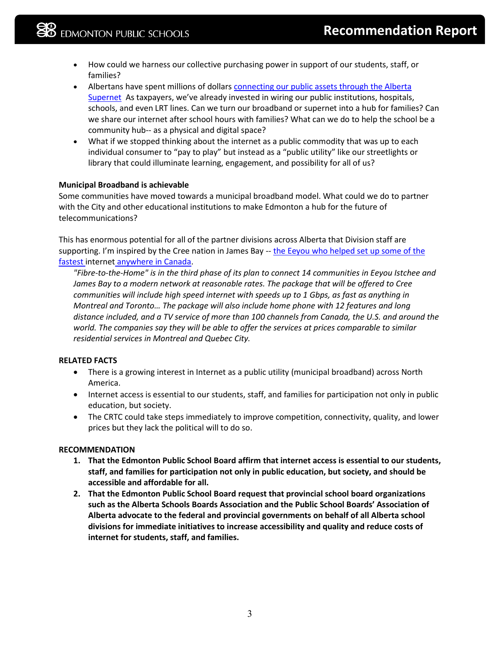- How could we harness our collective purchasing power in support of our students, staff, or families?
- Albertans have spent millions of dollars connecting our public assets through the Alberta [Supernet](https://www.alberta.ca/supernet.aspx) As taxpayers, we've already invested in wiring our public institutions, hospitals, schools, and even LRT lines. Can we turn our broadband or supernet into a hub for families? Can we share our internet after school hours with families? What can we do to help the school be a community hub-- as a physical and digital space?
- What if we stopped thinking about the internet as a public commodity that was up to each individual consumer to "pay to play" but instead as a "public utility" like our streetlights or library that could illuminate learning, engagement, and possibility for all of us?

# **Municipal Broadband is achievable**

Some communities have moved towards a municipal broadband model. What could we do to partner with the City and other educational institutions to make Edmonton a hub for the future of telecommunications?

This has enormous potential for all of the partner divisions across Alberta that Division staff are supporting. I'm inspired by the Cree nation in James Bay -- [the Eeyou who helped set up some of the](https://www.cbc.ca/news/canada/north/james-bay-high-speed-internet-quebec-1.4492192) [fastest](https://www.cbc.ca/news/canada/north/james-bay-high-speed-internet-quebec-1.4492192) internet [anywhere in Canada.](https://www.cbc.ca/news/canada/north/james-bay-high-speed-internet-quebec-1.4492192)

*"Fibre-to-the-Home" is in the third phase of its plan to connect 14 communities in Eeyou Istchee and James Bay to a modern network at reasonable rates. The package that will be offered to Cree communities will include high speed internet with speeds up to 1 Gbps, as fast as anything in Montreal and Toronto… The package will also include home phone with 12 features and long distance included, and a TV service of more than 100 channels from Canada, the U.S. and around the world. The companies say they will be able to offer the services at prices comparable to similar residential services in Montreal and Quebec City.*

## **RELATED FACTS**

- There is a growing interest in Internet as a public utility (municipal broadband) across North America.
- Internet access is essential to our students, staff, and families for participation not only in public education, but society.
- The CRTC could take steps immediately to improve competition, connectivity, quality, and lower prices but they lack the political will to do so.

## **RECOMMENDATION**

- **1. That the Edmonton Public School Board affirm that internet access is essential to our students, staff, and families for participation not only in public education, but society, and should be accessible and affordable for all.**
- **2. That the Edmonton Public School Board request that provincial school board organizations such as the Alberta Schools Boards Association and the Public School Boards' Association of Alberta advocate to the federal and provincial governments on behalf of all Alberta school divisions for immediate initiatives to increase accessibility and quality and reduce costs of internet for students, staff, and families.**